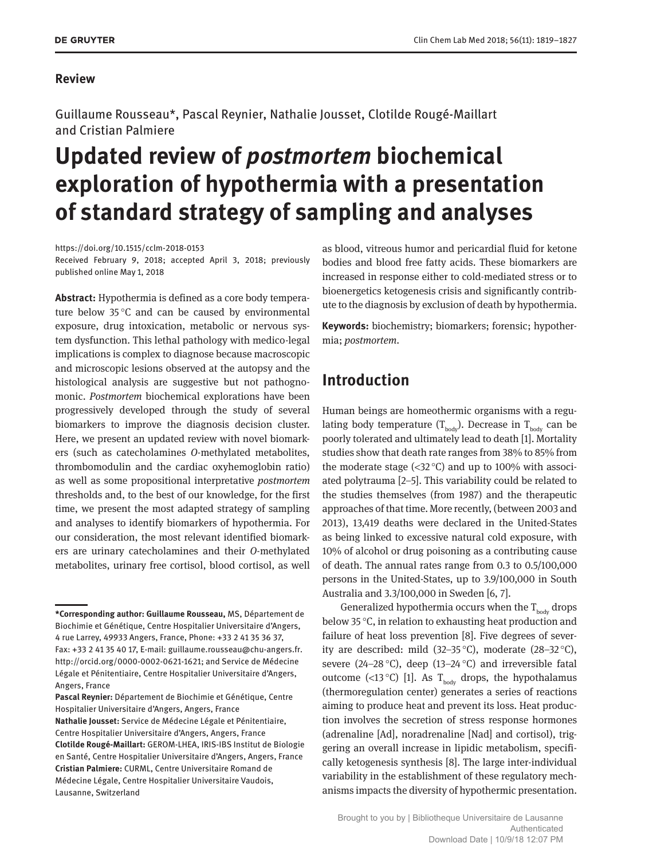#### **Review**

Guillaume Rousseau\*, Pascal Reynier, Nathalie Jousset, Clotilde Rougé-Maillart and Cristian Palmiere

# **Updated review of** *postmortem* **biochemical exploration of hypothermia with a presentation of standard strategy of sampling and analyses**

<https://doi.org/10.1515/cclm-2018-0153> Received February 9, 2018; accepted April 3, 2018; previously published online May 1, 2018

**Abstract:** Hypothermia is defined as a core body temperature below 35 °C and can be caused by environmental exposure, drug intoxication, metabolic or nervous system dysfunction. This lethal pathology with medico-legal implications is complex to diagnose because macroscopic and microscopic lesions observed at the autopsy and the histological analysis are suggestive but not pathognomonic. *Postmortem* biochemical explorations have been progressively developed through the study of several biomarkers to improve the diagnosis decision cluster. Here, we present an updated review with novel biomarkers (such as catecholamines *O*-methylated metabolites, thrombomodulin and the cardiac oxyhemoglobin ratio) as well as some propositional interpretative *postmortem* thresholds and, to the best of our knowledge, for the first time, we present the most adapted strategy of sampling and analyses to identify biomarkers of hypothermia. For our consideration, the most relevant identified biomarkers are urinary catecholamines and their *O*-methylated metabolites, urinary free cortisol, blood cortisol, as well as blood, vitreous humor and pericardial fluid for ketone bodies and blood free fatty acids. These biomarkers are increased in response either to cold-mediated stress or to bioenergetics ketogenesis crisis and significantly contribute to the diagnosis by exclusion of death by hypothermia.

**Keywords:** biochemistry; biomarkers; forensic; hypothermia; *postmortem*.

## **Introduction**

Human beings are homeothermic organisms with a regulating body temperature  $(T_{body})$ . Decrease in  $T_{body}$  can be poorly tolerated and ultimately lead to death [1]. Mortality studies show that death rate ranges from 38% to 85% from the moderate stage  $\left( \langle 32^{\circ} \text{C} \rangle \right)$  and up to 100% with associated polytrauma [2–5]. This variability could be related to the studies themselves (from 1987) and the therapeutic approaches of that time. More recently, (between 2003 and 2013), 13,419 deaths were declared in the United-States as being linked to excessive natural cold exposure, with 10% of alcohol or drug poisoning as a contributing cause of death. The annual rates range from 0.3 to 0.5/100,000 persons in the United-States, up to 3.9/100,000 in South Australia and 3.3/100,000 in Sweden [6, 7].

Generalized hypothermia occurs when the  $T_{\text{body}}$  drops below 35 °C, in relation to exhausting heat production and failure of heat loss prevention [8]. Five degrees of severity are described: mild (32–35 °C), moderate (28–32 °C), severe (24–28 °C), deep (13–24 °C) and irreversible fatal outcome (<13 °C) [1]. As T<sub>hody</sub> drops, the hypothalamus (thermoregulation center) generates a series of reactions aiming to produce heat and prevent its loss. Heat production involves the secretion of stress response hormones (adrenaline [Ad], noradrenaline [Nad] and cortisol), triggering an overall increase in lipidic metabolism, specifically ketogenesis synthesis [8]. The large inter-individual variability in the establishment of these regulatory mechanisms impacts the diversity of hypothermic presentation.

**<sup>\*</sup>Corresponding author: Guillaume Rousseau,** MS, Département de Biochimie et Génétique, Centre Hospitalier Universitaire d'Angers, 4 rue Larrey, 49933 Angers, France, Phone: +33 2 41 35 36 37, Fax: +33 2 41 35 40 17, E-mail: [guillaume.rousseau@chu-angers.fr](mailto:guillaume.rousseau@chu-angers.fr). http://orcid.org/0000-0002-0621-1621; and Service de Médecine Légale et Pénitentiaire, Centre Hospitalier Universitaire d'Angers, Angers, France

**Pascal Reynier:** Département de Biochimie et Génétique, Centre Hospitalier Universitaire d'Angers, Angers, France **Nathalie Jousset:** Service de Médecine Légale et Pénitentiaire, Centre Hospitalier Universitaire d'Angers, Angers, France **Clotilde Rougé-Maillart:** GEROM-LHEA, IRIS-IBS Institut de Biologie en Santé, Centre Hospitalier Universitaire d'Angers, Angers, France **Cristian Palmiere:** CURML, Centre Universitaire Romand de Médecine Légale, Centre Hospitalier Universitaire Vaudois, Lausanne, Switzerland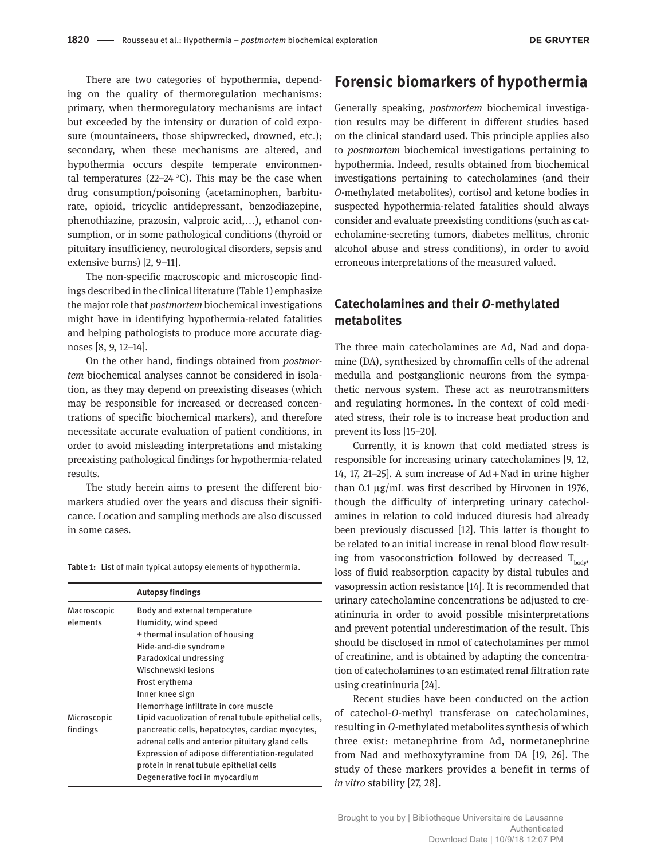There are two categories of hypothermia, depending on the quality of thermoregulation mechanisms: primary, when thermoregulatory mechanisms are intact but exceeded by the intensity or duration of cold exposure (mountaineers, those shipwrecked, drowned, etc.); secondary, when these mechanisms are altered, and hypothermia occurs despite temperate environmental temperatures (22–24 $\degree$ C). This may be the case when drug consumption/poisoning (acetaminophen, barbiturate, opioid, tricyclic antidepressant, benzodiazepine, phenothiazine, prazosin, valproic acid,…), ethanol consumption, or in some pathological conditions (thyroid or pituitary insufficiency, neurological disorders, sepsis and extensive burns) [2, 9–11].

The non-specific macroscopic and microscopic findings described in the clinical literature (Table 1) emphasize the major role that *postmortem* biochemical investigations might have in identifying hypothermia-related fatalities and helping pathologists to produce more accurate diagnoses [8, 9, 12–14].

On the other hand, findings obtained from *postmortem* biochemical analyses cannot be considered in isolation, as they may depend on preexisting diseases (which may be responsible for increased or decreased concentrations of specific biochemical markers), and therefore necessitate accurate evaluation of patient conditions, in order to avoid misleading interpretations and mistaking preexisting pathological findings for hypothermia-related results.

The study herein aims to present the different biomarkers studied over the years and discuss their significance. Location and sampling methods are also discussed in some cases.

**Table 1:** List of main typical autopsy elements of hypothermia.

|                         | <b>Autopsy findings</b>                                                                                                                                                                                                                                                                         |  |
|-------------------------|-------------------------------------------------------------------------------------------------------------------------------------------------------------------------------------------------------------------------------------------------------------------------------------------------|--|
| Macroscopic             | Body and external temperature                                                                                                                                                                                                                                                                   |  |
| elements                | Humidity, wind speed                                                                                                                                                                                                                                                                            |  |
|                         | $\pm$ thermal insulation of housing                                                                                                                                                                                                                                                             |  |
|                         | Hide-and-die syndrome                                                                                                                                                                                                                                                                           |  |
|                         | Paradoxical undressing                                                                                                                                                                                                                                                                          |  |
|                         | Wischnewski lesions                                                                                                                                                                                                                                                                             |  |
|                         | Frost erythema                                                                                                                                                                                                                                                                                  |  |
|                         | Inner knee sign                                                                                                                                                                                                                                                                                 |  |
|                         | Hemorrhage infiltrate in core muscle                                                                                                                                                                                                                                                            |  |
| Microscopic<br>findings | Lipid vacuolization of renal tubule epithelial cells,<br>pancreatic cells, hepatocytes, cardiac myocytes,<br>adrenal cells and anterior pituitary gland cells<br>Expression of adipose differentiation-regulated<br>protein in renal tubule epithelial cells<br>Degenerative foci in myocardium |  |

## **Forensic biomarkers of hypothermia**

Generally speaking, *postmortem* biochemical investigation results may be different in different studies based on the clinical standard used. This principle applies also to *postmortem* biochemical investigations pertaining to hypothermia. Indeed, results obtained from biochemical investigations pertaining to catecholamines (and their *O*-methylated metabolites), cortisol and ketone bodies in suspected hypothermia-related fatalities should always consider and evaluate preexisting conditions (such as catecholamine-secreting tumors, diabetes mellitus, chronic alcohol abuse and stress conditions), in order to avoid erroneous interpretations of the measured valued.

#### **Catecholamines and their** *O***-methylated metabolites**

The three main catecholamines are Ad, Nad and dopamine (DA), synthesized by chromaffin cells of the adrenal medulla and postganglionic neurons from the sympathetic nervous system. These act as neurotransmitters and regulating hormones. In the context of cold mediated stress, their role is to increase heat production and prevent its loss [15–20].

Currently, it is known that cold mediated stress is responsible for increasing urinary catecholamines [9, 12, 14, 17, 21–25]. A sum increase of Ad + Nad in urine higher than 0.1 μg/mL was first described by Hirvonen in 1976, though the difficulty of interpreting urinary catecholamines in relation to cold induced diuresis had already been previously discussed [12]. This latter is thought to be related to an initial increase in renal blood flow resulting from vasoconstriction followed by decreased  $T_{\text{body}}$ loss of fluid reabsorption capacity by distal tubules and vasopressin action resistance [14]. It is recommended that urinary catecholamine concentrations be adjusted to creatininuria in order to avoid possible misinterpretations and prevent potential underestimation of the result. This should be disclosed in nmol of catecholamines per mmol of creatinine, and is obtained by adapting the concentration of catecholamines to an estimated renal filtration rate using creatininuria [24].

Recent studies have been conducted on the action of catechol-*O*-methyl transferase on catecholamines, resulting in *O*-methylated metabolites synthesis of which three exist: metanephrine from Ad, normetanephrine from Nad and methoxytyramine from DA [19, 26]. The study of these markers provides a benefit in terms of *in vitro* stability [27, 28].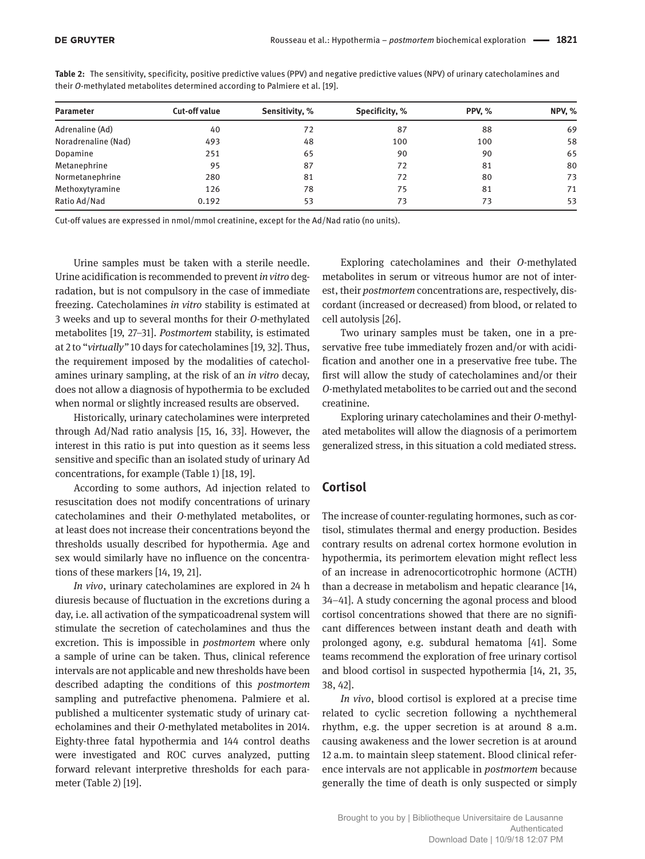| <b>Parameter</b>    | <b>Cut-off value</b> | Sensitivity, % | Specificity, % | <b>PPV. %</b> | <b>NPV, %</b> |
|---------------------|----------------------|----------------|----------------|---------------|---------------|
| Adrenaline (Ad)     | 40                   | 72             | 87             | 88            | 69            |
| Noradrenaline (Nad) | 493                  | 48             | 100            | 100           | 58            |
| Dopamine            | 251                  | 65             | 90             | 90            | 65            |
| Metanephrine        | 95                   | 87             | 72             | 81            | 80            |
| Normetanephrine     | 280                  | 81             | 72             | 80            | 73            |
| Methoxytyramine     | 126                  | 78             | 75             | 81            | 71            |
| Ratio Ad/Nad        | 0.192                | 53             | 73             | 73            | 53            |

**Table 2:** The sensitivity, specificity, positive predictive values (PPV) and negative predictive values (NPV) of urinary catecholamines and their *O*-methylated metabolites determined according to Palmiere et al. [19].

Cut-off values are expressed in nmol/mmol creatinine, except for the Ad/Nad ratio (no units).

Urine samples must be taken with a sterile needle. Urine acidification is recommended to prevent *in vitro* degradation, but is not compulsory in the case of immediate freezing. Catecholamines *in vitro* stability is estimated at 3 weeks and up to several months for their *O*-methylated metabolites [19, 27–31]. *Postmortem* stability, is estimated at 2 to "*virtually"* 10 days for catecholamines [19, 32]. Thus, the requirement imposed by the modalities of catecholamines urinary sampling, at the risk of an *in vitro* decay, does not allow a diagnosis of hypothermia to be excluded when normal or slightly increased results are observed.

Historically, urinary catecholamines were interpreted through Ad/Nad ratio analysis [15, 16, 33]. However, the interest in this ratio is put into question as it seems less sensitive and specific than an isolated study of urinary Ad concentrations, for example (Table 1) [18, 19].

According to some authors, Ad injection related to resuscitation does not modify concentrations of urinary catecholamines and their *O*-methylated metabolites, or at least does not increase their concentrations beyond the thresholds usually described for hypothermia. Age and sex would similarly have no influence on the concentrations of these markers [14, 19, 21].

*In vivo*, urinary catecholamines are explored in 24 h diuresis because of fluctuation in the excretions during a day, i.e. all activation of the sympaticoadrenal system will stimulate the secretion of catecholamines and thus the excretion. This is impossible in *postmortem* where only a sample of urine can be taken. Thus, clinical reference intervals are not applicable and new thresholds have been described adapting the conditions of this *postmortem* sampling and putrefactive phenomena. Palmiere et al. published a multicenter systematic study of urinary catecholamines and their *O*-methylated metabolites in 2014. Eighty-three fatal hypothermia and 144 control deaths were investigated and ROC curves analyzed, putting forward relevant interpretive thresholds for each parameter (Table 2) [19].

Exploring catecholamines and their *O*-methylated metabolites in serum or vitreous humor are not of interest, their *postmortem* concentrations are, respectively, discordant (increased or decreased) from blood, or related to cell autolysis [26].

Two urinary samples must be taken, one in a preservative free tube immediately frozen and/or with acidification and another one in a preservative free tube. The first will allow the study of catecholamines and/or their *O*-methylated metabolites to be carried out and the second creatinine.

Exploring urinary catecholamines and their *O*-methylated metabolites will allow the diagnosis of a perimortem generalized stress, in this situation a cold mediated stress.

#### **Cortisol**

The increase of counter-regulating hormones, such as cortisol, stimulates thermal and energy production. Besides contrary results on adrenal cortex hormone evolution in hypothermia, its perimortem elevation might reflect less of an increase in adrenocorticotrophic hormone (ACTH) than a decrease in metabolism and hepatic clearance [14, 34–41]. A study concerning the agonal process and blood cortisol concentrations showed that there are no significant differences between instant death and death with prolonged agony, e.g. subdural hematoma [41]. Some teams recommend the exploration of free urinary cortisol and blood cortisol in suspected hypothermia [14, 21, 35, 38, 42].

*In vivo*, blood cortisol is explored at a precise time related to cyclic secretion following a nychthemeral rhythm, e.g. the upper secretion is at around 8 a.m. causing awakeness and the lower secretion is at around 12 a.m. to maintain sleep statement. Blood clinical reference intervals are not applicable in *postmortem* because generally the time of death is only suspected or simply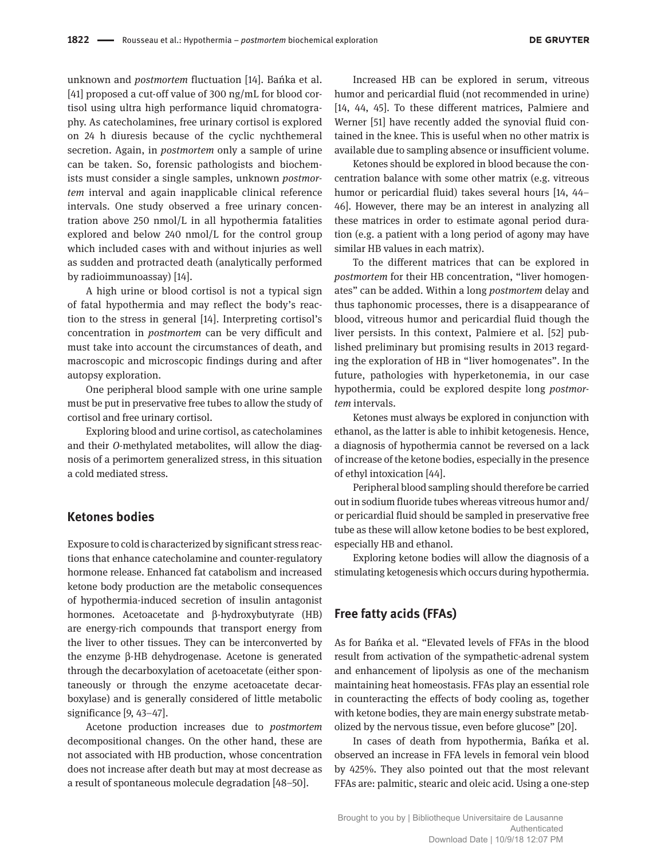unknown and *postmortem* fluctuation [14]. Bańka et al. [41] proposed a cut-off value of 300 ng/mL for blood cortisol using ultra high performance liquid chromatography. As catecholamines, free urinary cortisol is explored on 24 h diuresis because of the cyclic nychthemeral secretion. Again, in *postmortem* only a sample of urine can be taken. So, forensic pathologists and biochemists must consider a single samples, unknown *postmortem* interval and again inapplicable clinical reference intervals. One study observed a free urinary concentration above 250 nmol/L in all hypothermia fatalities explored and below 240 nmol/L for the control group which included cases with and without injuries as well as sudden and protracted death (analytically performed by radioimmunoassay) [14].

A high urine or blood cortisol is not a typical sign of fatal hypothermia and may reflect the body's reaction to the stress in general [14]. Interpreting cortisol's concentration in *postmortem* can be very difficult and must take into account the circumstances of death, and macroscopic and microscopic findings during and after autopsy exploration.

One peripheral blood sample with one urine sample must be put in preservative free tubes to allow the study of cortisol and free urinary cortisol.

Exploring blood and urine cortisol, as catecholamines and their *O*-methylated metabolites, will allow the diagnosis of a perimortem generalized stress, in this situation a cold mediated stress.

#### **Ketones bodies**

Exposure to cold is characterized by significant stress reactions that enhance catecholamine and counter-regulatory hormone release. Enhanced fat catabolism and increased ketone body production are the metabolic consequences of hypothermia-induced secretion of insulin antagonist hormones. Acetoacetate and β-hydroxybutyrate (HB) are energy-rich compounds that transport energy from the liver to other tissues. They can be interconverted by the enzyme β-HB dehydrogenase. Acetone is generated through the decarboxylation of acetoacetate (either spontaneously or through the enzyme acetoacetate decarboxylase) and is generally considered of little metabolic significance [9, 43–47].

Acetone production increases due to *postmortem* decompositional changes. On the other hand, these are not associated with HB production, whose concentration does not increase after death but may at most decrease as a result of spontaneous molecule degradation [48–50].

Increased HB can be explored in serum, vitreous humor and pericardial fluid (not recommended in urine) [14, 44, 45]. To these different matrices, Palmiere and Werner [51] have recently added the synovial fluid contained in the knee. This is useful when no other matrix is available due to sampling absence or insufficient volume.

Ketones should be explored in blood because the concentration balance with some other matrix (e.g. vitreous humor or pericardial fluid) takes several hours [14, 44– 46]. However, there may be an interest in analyzing all these matrices in order to estimate agonal period duration (e.g. a patient with a long period of agony may have similar HB values in each matrix).

To the different matrices that can be explored in *postmortem* for their HB concentration, "liver homogenates" can be added. Within a long *postmortem* delay and thus taphonomic processes, there is a disappearance of blood, vitreous humor and pericardial fluid though the liver persists. In this context, Palmiere et al. [52] published preliminary but promising results in 2013 regarding the exploration of HB in "liver homogenates". In the future, pathologies with hyperketonemia, in our case hypothermia, could be explored despite long *postmortem* intervals.

Ketones must always be explored in conjunction with ethanol, as the latter is able to inhibit ketogenesis. Hence, a diagnosis of hypothermia cannot be reversed on a lack of increase of the ketone bodies, especially in the presence of ethyl intoxication [44].

Peripheral blood sampling should therefore be carried out in sodium fluoride tubes whereas vitreous humor and/ or pericardial fluid should be sampled in preservative free tube as these will allow ketone bodies to be best explored, especially HB and ethanol.

Exploring ketone bodies will allow the diagnosis of a stimulating ketogenesis which occurs during hypothermia.

#### **Free fatty acids (FFAs)**

As for Bańka et al. "Elevated levels of FFAs in the blood result from activation of the sympathetic-adrenal system and enhancement of lipolysis as one of the mechanism maintaining heat homeostasis. FFAs play an essential role in counteracting the effects of body cooling as, together with ketone bodies, they are main energy substrate metabolized by the nervous tissue, even before glucose" [20].

In cases of death from hypothermia, Bańka et al. observed an increase in FFA levels in femoral vein blood by 425%. They also pointed out that the most relevant FFAs are: palmitic, stearic and oleic acid. Using a one-step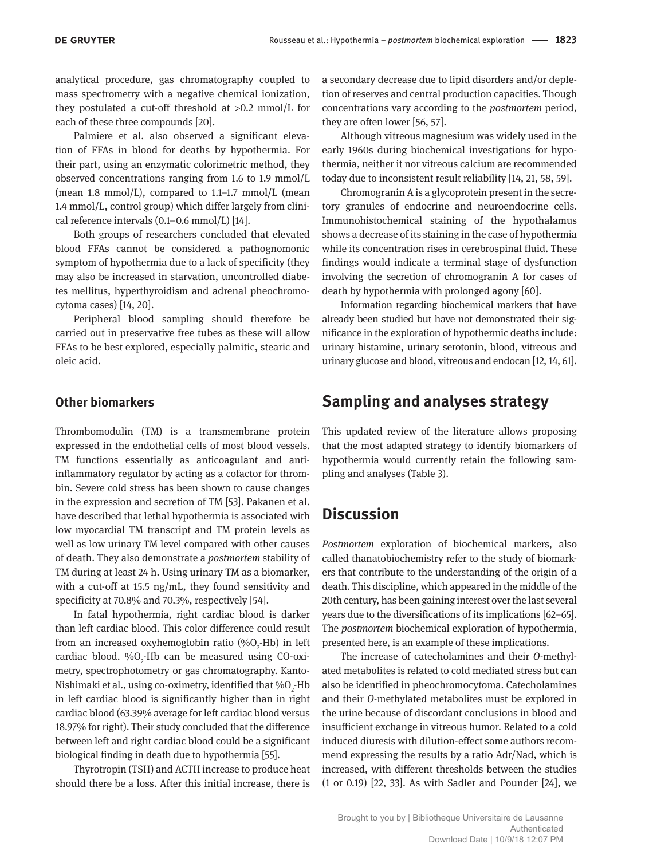analytical procedure, gas chromatography coupled to mass spectrometry with a negative chemical ionization, they postulated a cut-off threshold at >0.2 mmol/L for each of these three compounds [20].

Palmiere et al. also observed a significant elevation of FFAs in blood for deaths by hypothermia. For their part, using an enzymatic colorimetric method, they observed concentrations ranging from 1.6 to 1.9 mmol/L (mean 1.8 mmol/L), compared to 1.1–1.7 mmol/L (mean 1.4 mmol/L, control group) which differ largely from clinical reference intervals (0.1–0.6 mmol/L) [14].

Both groups of researchers concluded that elevated blood FFAs cannot be considered a pathognomonic symptom of hypothermia due to a lack of specificity (they may also be increased in starvation, uncontrolled diabetes mellitus, hyperthyroidism and adrenal pheochromocytoma cases) [14, 20].

Peripheral blood sampling should therefore be carried out in preservative free tubes as these will allow FFAs to be best explored, especially palmitic, stearic and oleic acid.

#### **Other biomarkers**

Thrombomodulin (TM) is a transmembrane protein expressed in the endothelial cells of most blood vessels. TM functions essentially as anticoagulant and antiinflammatory regulator by acting as a cofactor for thrombin. Severe cold stress has been shown to cause changes in the expression and secretion of TM [53]. Pakanen et al. have described that lethal hypothermia is associated with low myocardial TM transcript and TM protein levels as well as low urinary TM level compared with other causes of death. They also demonstrate a *postmortem* stability of TM during at least 24 h. Using urinary TM as a biomarker, with a cut-off at 15.5 ng/mL, they found sensitivity and specificity at 70.8% and 70.3%, respectively [54].

In fatal hypothermia, right cardiac blood is darker than left cardiac blood. This color difference could result from an increased oxyhemoglobin ratio (% $O_2$ -Hb) in left cardiac blood.  $\%O_{2}$ -Hb can be measured using CO-oximetry, spectrophotometry or gas chromatography. Kanto-Nishimaki et al., using co-oximetry, identified that  $\%$ O<sub>2</sub>-Hb in left cardiac blood is significantly higher than in right cardiac blood (63.39% average for left cardiac blood versus 18.97% for right). Their study concluded that the difference between left and right cardiac blood could be a significant biological finding in death due to hypothermia [55].

Thyrotropin (TSH) and ACTH increase to produce heat should there be a loss. After this initial increase, there is a secondary decrease due to lipid disorders and/or depletion of reserves and central production capacities. Though concentrations vary according to the *postmortem* period, they are often lower [56, 57].

Although vitreous magnesium was widely used in the early 1960s during biochemical investigations for hypothermia, neither it nor vitreous calcium are recommended today due to inconsistent result reliability [14, 21, 58, 59].

Chromogranin A is a glycoprotein present in the secretory granules of endocrine and neuroendocrine cells. Immunohistochemical staining of the hypothalamus shows a decrease of its staining in the case of hypothermia while its concentration rises in cerebrospinal fluid. These findings would indicate a terminal stage of dysfunction involving the secretion of chromogranin A for cases of death by hypothermia with prolonged agony [60].

Information regarding biochemical markers that have already been studied but have not demonstrated their significance in the exploration of hypothermic deaths include: urinary histamine, urinary serotonin, blood, vitreous and urinary glucose and blood, vitreous and endocan [12, 14, 61].

## **Sampling and analyses strategy**

This updated review of the literature allows proposing that the most adapted strategy to identify biomarkers of hypothermia would currently retain the following sampling and analyses (Table 3).

## **Discussion**

*Postmortem* exploration of biochemical markers, also called thanatobiochemistry refer to the study of biomarkers that contribute to the understanding of the origin of a death. This discipline, which appeared in the middle of the 20th century, has been gaining interest over the last several years due to the diversifications of its implications [62–65]. The *postmortem* biochemical exploration of hypothermia, presented here, is an example of these implications.

The increase of catecholamines and their *O*-methylated metabolites is related to cold mediated stress but can also be identified in pheochromocytoma. Catecholamines and their *O*-methylated metabolites must be explored in the urine because of discordant conclusions in blood and insufficient exchange in vitreous humor. Related to a cold induced diuresis with dilution-effect some authors recommend expressing the results by a ratio Adr/Nad, which is increased, with different thresholds between the studies (1 or 0.19) [22, 33]. As with Sadler and Pounder [24], we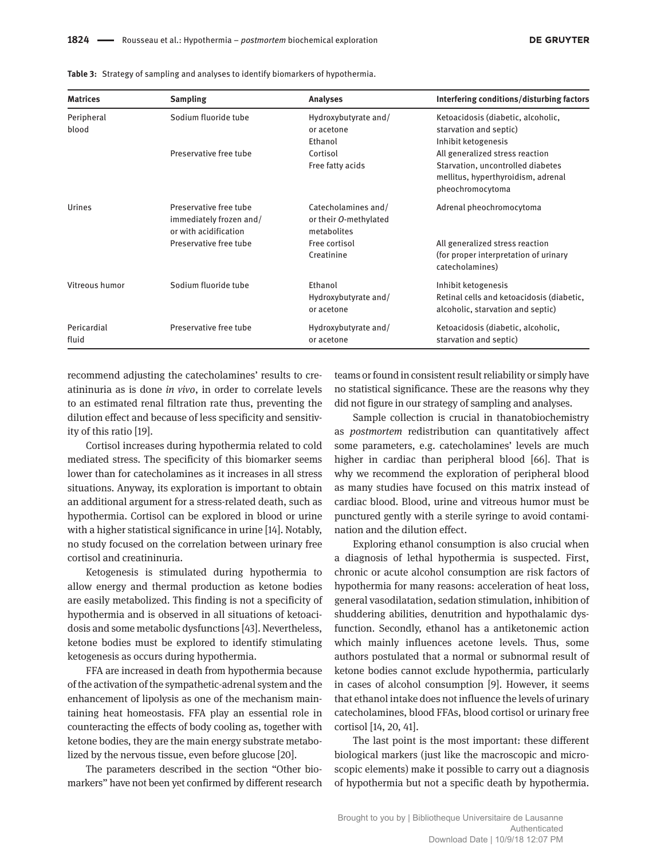| <b>Matrices</b>      | <b>Sampling</b>                                                            | <b>Analyses</b>                                             | Interfering conditions/disturbing factors                                                                                      |
|----------------------|----------------------------------------------------------------------------|-------------------------------------------------------------|--------------------------------------------------------------------------------------------------------------------------------|
| Peripheral<br>blood  | Sodium fluoride tube                                                       | Hydroxybutyrate and/<br>or acetone<br>Ethanol               | Ketoacidosis (diabetic, alcoholic,<br>starvation and septic)<br>Inhibit ketogenesis                                            |
|                      | Preservative free tube                                                     | Cortisol<br>Free fatty acids                                | All generalized stress reaction<br>Starvation, uncontrolled diabetes<br>mellitus, hyperthyroidism, adrenal<br>pheochromocytoma |
| Urines               | Preservative free tube<br>immediately frozen and/<br>or with acidification | Catecholamines and/<br>or their O-methylated<br>metabolites | Adrenal pheochromocytoma                                                                                                       |
|                      | Preservative free tube                                                     | Free cortisol<br>Creatinine                                 | All generalized stress reaction<br>(for proper interpretation of urinary<br>catecholamines)                                    |
| Vitreous humor       | Sodium fluoride tube                                                       | Ethanol<br>Hydroxybutyrate and/<br>or acetone               | Inhibit ketogenesis<br>Retinal cells and ketoacidosis (diabetic,<br>alcoholic, starvation and septic)                          |
| Pericardial<br>fluid | Preservative free tube                                                     | Hydroxybutyrate and/<br>or acetone                          | Ketoacidosis (diabetic, alcoholic,<br>starvation and septic)                                                                   |

**Table 3:** Strategy of sampling and analyses to identify biomarkers of hypothermia.

recommend adjusting the catecholamines' results to creatininuria as is done *in vivo*, in order to correlate levels to an estimated renal filtration rate thus, preventing the dilution effect and because of less specificity and sensitivity of this ratio [19].

Cortisol increases during hypothermia related to cold mediated stress. The specificity of this biomarker seems lower than for catecholamines as it increases in all stress situations. Anyway, its exploration is important to obtain an additional argument for a stress-related death, such as hypothermia. Cortisol can be explored in blood or urine with a higher statistical significance in urine [14]. Notably, no study focused on the correlation between urinary free cortisol and creatininuria.

Ketogenesis is stimulated during hypothermia to allow energy and thermal production as ketone bodies are easily metabolized. This finding is not a specificity of hypothermia and is observed in all situations of ketoacidosis and some metabolic dysfunctions [43]. Nevertheless, ketone bodies must be explored to identify stimulating ketogenesis as occurs during hypothermia.

FFA are increased in death from hypothermia because of the activation of the sympathetic-adrenal system and the enhancement of lipolysis as one of the mechanism maintaining heat homeostasis. FFA play an essential role in counteracting the effects of body cooling as, together with ketone bodies, they are the main energy substrate metabolized by the nervous tissue, even before glucose [20].

The parameters described in the section "Other biomarkers" have not been yet confirmed by different research

teams or found in consistent result reliability or simply have no statistical significance. These are the reasons why they did not figure in our strategy of sampling and analyses.

Sample collection is crucial in thanatobiochemistry as *postmortem* redistribution can quantitatively affect some parameters, e.g. catecholamines' levels are much higher in cardiac than peripheral blood [66]. That is why we recommend the exploration of peripheral blood as many studies have focused on this matrix instead of cardiac blood. Blood, urine and vitreous humor must be punctured gently with a sterile syringe to avoid contamination and the dilution effect.

Exploring ethanol consumption is also crucial when a diagnosis of lethal hypothermia is suspected. First, chronic or acute alcohol consumption are risk factors of hypothermia for many reasons: acceleration of heat loss, general vasodilatation, sedation stimulation, inhibition of shuddering abilities, denutrition and hypothalamic dysfunction. Secondly, ethanol has a antiketonemic action which mainly influences acetone levels. Thus, some authors postulated that a normal or subnormal result of ketone bodies cannot exclude hypothermia, particularly in cases of alcohol consumption [9]. However, it seems that ethanol intake does not influence the levels of urinary catecholamines, blood FFAs, blood cortisol or urinary free cortisol [14, 20, 41].

The last point is the most important: these different biological markers (just like the macroscopic and microscopic elements) make it possible to carry out a diagnosis of hypothermia but not a specific death by hypothermia.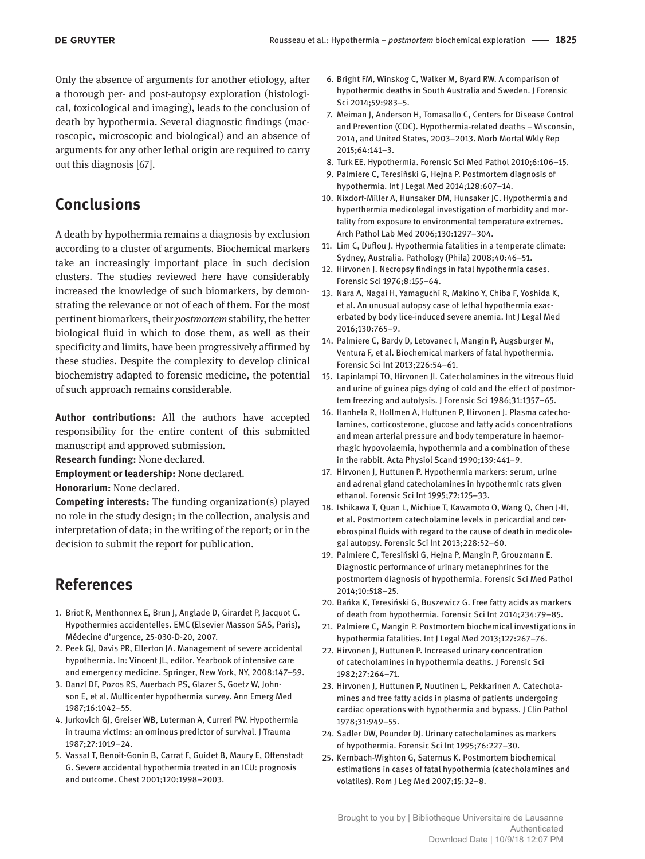Only the absence of arguments for another etiology, after a thorough per- and post-autopsy exploration (histological, toxicological and imaging), leads to the conclusion of death by hypothermia. Several diagnostic findings (macroscopic, microscopic and biological) and an absence of arguments for any other lethal origin are required to carry out this diagnosis [67].

## **Conclusions**

A death by hypothermia remains a diagnosis by exclusion according to a cluster of arguments. Biochemical markers take an increasingly important place in such decision clusters. The studies reviewed here have considerably increased the knowledge of such biomarkers, by demonstrating the relevance or not of each of them. For the most pertinent biomarkers, their *postmortem* stability, the better biological fluid in which to dose them, as well as their specificity and limits, have been progressively affirmed by these studies. Despite the complexity to develop clinical biochemistry adapted to forensic medicine, the potential of such approach remains considerable.

**Author contributions:** All the authors have accepted responsibility for the entire content of this submitted manuscript and approved submission.

**Research funding:** None declared.

**Employment or leadership:** None declared.

**Honorarium:** None declared.

**Competing interests:** The funding organization(s) played no role in the study design; in the collection, analysis and interpretation of data; in the writing of the report; or in the decision to submit the report for publication.

## **References**

- 1. Briot R, Menthonnex E, Brun J, Anglade D, Girardet P, Jacquot C. Hypothermies accidentelles. EMC (Elsevier Masson SAS, Paris), Médecine d'urgence, 25-030-D-20, 2007.
- 2. Peek GJ, Davis PR, Ellerton JA. Management of severe accidental hypothermia. In: Vincent JL, editor. Yearbook of intensive care and emergency medicine. Springer, New York, NY, 2008:147–59.
- 3. Danzl DF, Pozos RS, Auerbach PS, Glazer S, Goetz W, Johnson E, et al. Multicenter hypothermia survey. Ann Emerg Med 1987;16:1042–55.
- 4. Jurkovich GJ, Greiser WB, Luterman A, Curreri PW. Hypothermia in trauma victims: an ominous predictor of survival. J Trauma 1987;27:1019–24.
- 5. Vassal T, Benoit-Gonin B, Carrat F, Guidet B, Maury E, Offenstadt G. Severe accidental hypothermia treated in an ICU: prognosis and outcome. Chest 2001;120:1998–2003.
- 6. Bright FM, Winskog C, Walker M, Byard RW. A comparison of hypothermic deaths in South Australia and Sweden. J Forensic Sci 2014;59:983–5.
- 7. Meiman J, Anderson H, Tomasallo C, Centers for Disease Control and Prevention (CDC). Hypothermia-related deaths – Wisconsin, 2014, and United States, 2003–2013. Morb Mortal Wkly Rep 2015;64:141–3.
- 8. Turk EE. Hypothermia. Forensic Sci Med Pathol 2010;6:106–15.
- 9. Palmiere C, Teresiński G, Hejna P. Postmortem diagnosis of hypothermia. Int J Legal Med 2014;128:607–14.
- 10. Nixdorf-Miller A, Hunsaker DM, Hunsaker JC. Hypothermia and hyperthermia medicolegal investigation of morbidity and mortality from exposure to environmental temperature extremes. Arch Pathol Lab Med 2006;130:1297–304.
- 11. Lim C, Duflou J. Hypothermia fatalities in a temperate climate: Sydney, Australia. Pathology (Phila) 2008;40:46–51.
- 12. Hirvonen J. Necropsy findings in fatal hypothermia cases. Forensic Sci 1976;8:155–64.
- 13. Nara A, Nagai H, Yamaguchi R, Makino Y, Chiba F, Yoshida K, et al. An unusual autopsy case of lethal hypothermia exacerbated by body lice-induced severe anemia. Int J Legal Med 2016;130:765–9.
- 14. Palmiere C, Bardy D, Letovanec I, Mangin P, Augsburger M, Ventura F, et al. Biochemical markers of fatal hypothermia. Forensic Sci Int 2013;226:54–61.
- 15. Lapinlampi TO, Hirvonen JI. Catecholamines in the vitreous fluid and urine of guinea pigs dying of cold and the effect of postmortem freezing and autolysis. J Forensic Sci 1986;31:1357–65.
- 16. Hanhela R, Hollmen A, Huttunen P, Hirvonen J. Plasma catecholamines, corticosterone, glucose and fatty acids concentrations and mean arterial pressure and body temperature in haemorrhagic hypovolaemia, hypothermia and a combination of these in the rabbit. Acta Physiol Scand 1990;139:441–9.
- 17. Hirvonen J, Huttunen P. Hypothermia markers: serum, urine and adrenal gland catecholamines in hypothermic rats given ethanol. Forensic Sci Int 1995;72:125–33.
- 18. Ishikawa T, Quan L, Michiue T, Kawamoto O, Wang Q, Chen J-H, et al. Postmortem catecholamine levels in pericardial and cerebrospinal fluids with regard to the cause of death in medicolegal autopsy. Forensic Sci Int 2013;228:52–60.
- 19. Palmiere C, Teresiński G, Hejna P, Mangin P, Grouzmann E. Diagnostic performance of urinary metanephrines for the postmortem diagnosis of hypothermia. Forensic Sci Med Pathol 2014;10:518–25.
- 20. Bańka K, Teresiński G, Buszewicz G. Free fatty acids as markers of death from hypothermia. Forensic Sci Int 2014;234:79–85.
- 21. Palmiere C, Mangin P. Postmortem biochemical investigations in hypothermia fatalities. Int J Legal Med 2013;127:267–76.
- 22. Hirvonen J, Huttunen P. Increased urinary concentration of catecholamines in hypothermia deaths. J Forensic Sci 1982;27:264–71.
- 23. Hirvonen J, Huttunen P, Nuutinen L, Pekkarinen A. Catecholamines and free fatty acids in plasma of patients undergoing cardiac operations with hypothermia and bypass. J Clin Pathol 1978;31:949–55.
- 24. Sadler DW, Pounder DJ. Urinary catecholamines as markers of hypothermia. Forensic Sci Int 1995;76:227–30.
- 25. Kernbach-Wighton G, Saternus K. Postmortem biochemical estimations in cases of fatal hypothermia (catecholamines and volatiles). Rom J Leg Med 2007;15:32–8.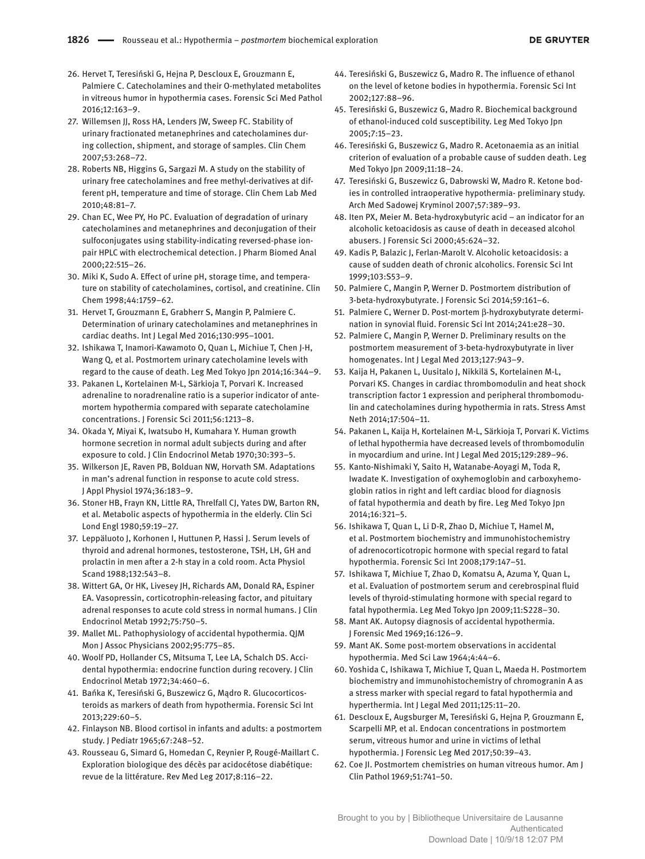- 26. Hervet T, Teresiński G, Hejna P, Descloux E, Grouzmann E, Palmiere C. Catecholamines and their O-methylated metabolites in vitreous humor in hypothermia cases. Forensic Sci Med Pathol 2016;12:163–9.
- 27. Willemsen JJ, Ross HA, Lenders JW, Sweep FC. Stability of urinary fractionated metanephrines and catecholamines during collection, shipment, and storage of samples. Clin Chem 2007;53:268–72.
- 28. Roberts NB, Higgins G, Sargazi M. A study on the stability of urinary free catecholamines and free methyl-derivatives at different pH, temperature and time of storage. Clin Chem Lab Med 2010;48:81–7.
- 29. Chan EC, Wee PY, Ho PC. Evaluation of degradation of urinary catecholamines and metanephrines and deconjugation of their sulfoconjugates using stability-indicating reversed-phase ionpair HPLC with electrochemical detection. J Pharm Biomed Anal 2000;22:515–26.
- 30. Miki K, Sudo A. Effect of urine pH, storage time, and temperature on stability of catecholamines, cortisol, and creatinine. Clin Chem 1998;44:1759–62.
- 31. Hervet T, Grouzmann E, Grabherr S, Mangin P, Palmiere C. Determination of urinary catecholamines and metanephrines in cardiac deaths. Int J Legal Med 2016;130:995–1001.
- 32. Ishikawa T, Inamori-Kawamoto O, Quan L, Michiue T, Chen J-H, Wang Q, et al. Postmortem urinary catecholamine levels with regard to the cause of death. Leg Med Tokyo Jpn 2014;16:344–9.
- 33. Pakanen L, Kortelainen M-L, Särkioja T, Porvari K. Increased adrenaline to noradrenaline ratio is a superior indicator of antemortem hypothermia compared with separate catecholamine concentrations. J Forensic Sci 2011;56:1213–8.
- 34. Okada Y, Miyai K, Iwatsubo H, Kumahara Y. Human growth hormone secretion in normal adult subjects during and after exposure to cold. J Clin Endocrinol Metab 1970;30:393–5.
- 35. Wilkerson JE, Raven PB, Bolduan NW, Horvath SM. Adaptations in man's adrenal function in response to acute cold stress. J Appl Physiol 1974;36:183–9.
- 36. Stoner HB, Frayn KN, Little RA, Threlfall CJ, Yates DW, Barton RN, et al. Metabolic aspects of hypothermia in the elderly. Clin Sci Lond Engl 1980;59:19–27.
- 37. Leppäluoto J, Korhonen I, Huttunen P, Hassi J. Serum levels of thyroid and adrenal hormones, testosterone, TSH, LH, GH and prolactin in men after a 2-h stay in a cold room. Acta Physiol Scand 1988;132:543–8.
- 38. Wittert GA, Or HK, Livesey JH, Richards AM, Donald RA, Espiner EA. Vasopressin, corticotrophin-releasing factor, and pituitary adrenal responses to acute cold stress in normal humans. J Clin Endocrinol Metab 1992;75:750–5.
- 39. Mallet ML. Pathophysiology of accidental hypothermia. QJM Mon J Assoc Physicians 2002;95:775–85.
- 40. Woolf PD, Hollander CS, Mitsuma T, Lee LA, Schalch DS. Accidental hypothermia: endocrine function during recovery. J Clin Endocrinol Metab 1972;34:460–6.
- 41. Bańka K, Teresiński G, Buszewicz G, Mądro R. Glucocorticosteroids as markers of death from hypothermia. Forensic Sci Int 2013;229:60–5.
- 42. Finlayson NB. Blood cortisol in infants and adults: a postmortem study. J Pediatr 1965;67:248–52.
- 43. Rousseau G, Simard G, Homedan C, Reynier P, Rougé-Maillart C. Exploration biologique des décès par acidocétose diabétique: revue de la littérature. Rev Med Leg 2017;8:116–22.
- 44. Teresiński G, Buszewicz G, Madro R. The influence of ethanol on the level of ketone bodies in hypothermia. Forensic Sci Int 2002;127:88–96.
- 45. Teresiński G, Buszewicz G, Madro R. Biochemical background of ethanol-induced cold susceptibility. Leg Med Tokyo Jpn 2005;7:15–23.
- 46. Teresiński G, Buszewicz G, Madro R. Acetonaemia as an initial criterion of evaluation of a probable cause of sudden death. Leg Med Tokyo Jpn 2009;11:18–24.
- 47. Teresiński G, Buszewicz G, Dabrowski W, Madro R. Ketone bodies in controlled intraoperative hypothermia- preliminary study. Arch Med Sadowej Kryminol 2007;57:389–93.
- 48. Iten PX, Meier M. Beta-hydroxybutyric acid an indicator for an alcoholic ketoacidosis as cause of death in deceased alcohol abusers. J Forensic Sci 2000;45:624–32.
- 49. Kadis P, Balazic J, Ferlan-Marolt V. Alcoholic ketoacidosis: a cause of sudden death of chronic alcoholics. Forensic Sci Int 1999;103:S53–9.
- 50. Palmiere C, Mangin P, Werner D. Postmortem distribution of 3-beta-hydroxybutyrate. J Forensic Sci 2014;59:161–6.
- 51. Palmiere C, Werner D. Post-mortem β-hydroxybutyrate determination in synovial fluid. Forensic Sci Int 2014;241:e28–30.
- 52. Palmiere C, Mangin P, Werner D. Preliminary results on the postmortem measurement of 3-beta-hydroxybutyrate in liver homogenates. Int J Legal Med 2013;127:943–9.
- 53. Kaija H, Pakanen L, Uusitalo J, Nikkilä S, Kortelainen M-L, Porvari KS. Changes in cardiac thrombomodulin and heat shock transcription factor 1 expression and peripheral thrombomodulin and catecholamines during hypothermia in rats. Stress Amst Neth 2014;17:504–11.
- 54. Pakanen L, Kaija H, Kortelainen M-L, Särkioja T, Porvari K. Victims of lethal hypothermia have decreased levels of thrombomodulin in myocardium and urine. Int J Legal Med 2015;129:289–96.
- 55. Kanto-Nishimaki Y, Saito H, Watanabe-Aoyagi M, Toda R, Iwadate K. Investigation of oxyhemoglobin and carboxyhemoglobin ratios in right and left cardiac blood for diagnosis of fatal hypothermia and death by fire. Leg Med Tokyo Jpn 2014;16:321–5.
- 56. Ishikawa T, Quan L, Li D-R, Zhao D, Michiue T, Hamel M, et al. Postmortem biochemistry and immunohistochemistry of adrenocorticotropic hormone with special regard to fatal hypothermia. Forensic Sci Int 2008;179:147–51.
- 57. Ishikawa T, Michiue T, Zhao D, Komatsu A, Azuma Y, Quan L, et al. Evaluation of postmortem serum and cerebrospinal fluid levels of thyroid-stimulating hormone with special regard to fatal hypothermia. Leg Med Tokyo Jpn 2009;11:S228–30.
- 58. Mant AK. Autopsy diagnosis of accidental hypothermia. J Forensic Med 1969;16:126–9.
- 59. Mant AK. Some post-mortem observations in accidental hypothermia. Med Sci Law 1964;4:44–6.
- 60. Yoshida C, Ishikawa T, Michiue T, Quan L, Maeda H. Postmortem biochemistry and immunohistochemistry of chromogranin A as a stress marker with special regard to fatal hypothermia and hyperthermia. Int J Legal Med 2011;125:11–20.
- 61. Descloux E, Augsburger M, Teresiński G, Hejna P, Grouzmann E, Scarpelli MP, et al. Endocan concentrations in postmortem serum, vitreous humor and urine in victims of lethal hypothermia. J Forensic Leg Med 2017;50:39–43.
- 62. Coe JI. Postmortem chemistries on human vitreous humor. Am J Clin Pathol 1969;51:741–50.